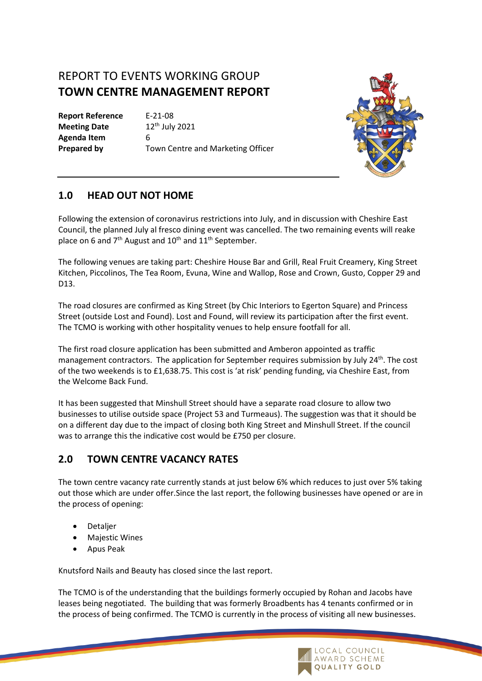# REPORT TO EVENTS WORKING GROUP **TOWN CENTRE MANAGEMENT REPORT**

**Report Reference** E-21-08 **Meeting Date** 12<sup>th</sup> July 2021 **Agenda Item** 6

**Prepared by Town Centre and Marketing Officer** 



#### **1.0 HEAD OUT NOT HOME**

Following the extension of coronavirus restrictions into July, and in discussion with Cheshire East Council, the planned July al fresco dining event was cancelled. The two remaining events will reake place on 6 and  $7<sup>th</sup>$  August and  $10<sup>th</sup>$  and  $11<sup>th</sup>$  September.

The following venues are taking part: Cheshire House Bar and Grill, Real Fruit Creamery, King Street Kitchen, Piccolinos, The Tea Room, Evuna, Wine and Wallop, Rose and Crown, Gusto, Copper 29 and D13.

The road closures are confirmed as King Street (by Chic Interiors to Egerton Square) and Princess Street (outside Lost and Found). Lost and Found, will review its participation after the first event. The TCMO is working with other hospitality venues to help ensure footfall for all.

The first road closure application has been submitted and Amberon appointed as traffic management contractors. The application for September requires submission by July 24<sup>th</sup>. The cost of the two weekends is to £1,638.75. This cost is 'at risk' pending funding, via Cheshire East, from the Welcome Back Fund.

It has been suggested that Minshull Street should have a separate road closure to allow two businesses to utilise outside space (Project 53 and Turmeaus). The suggestion was that it should be on a different day due to the impact of closing both King Street and Minshull Street. If the council was to arrange this the indicative cost would be £750 per closure.

## **2.0 TOWN CENTRE VACANCY RATES**

The town centre vacancy rate currently stands at just below 6% which reduces to just over 5% taking out those which are under offer.Since the last report, the following businesses have opened or are in the process of opening:

- Detaljer
- **Majestic Wines**
- Apus Peak

Knutsford Nails and Beauty has closed since the last report.

The TCMO is of the understanding that the buildings formerly occupied by Rohan and Jacobs have leases being negotiated. The building that was formerly Broadbents has 4 tenants confirmed or in the process of being confirmed. The TCMO is currently in the process of visiting all new businesses.

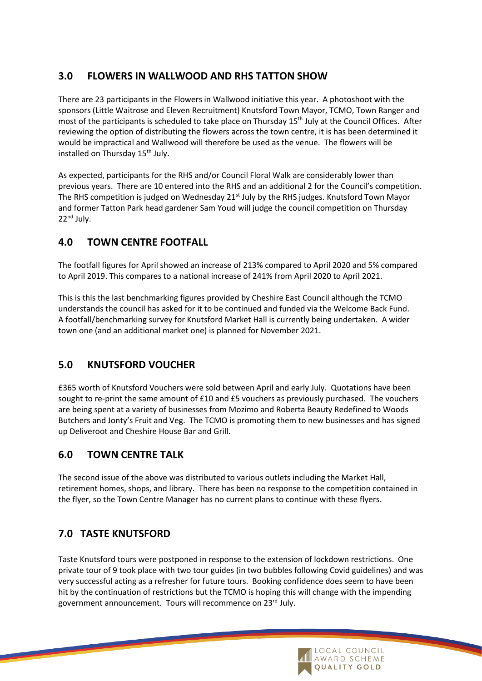## **3.0 FLOWERS IN WALLWOOD AND RHS TATTON SHOW**

There are 23 participants in the Flowers in Wallwood initiative this year. A photoshoot with the sponsors (Little Waitrose and Eleven Recruitment) Knutsford Town Mayor, TCMO, Town Ranger and most of the participants is scheduled to take place on Thursday 15<sup>th</sup> July at the Council Offices. After reviewing the option of distributing the flowers across the town centre, it is has been determined it would be impractical and Wallwood will therefore be used as the venue. The flowers will be installed on Thursday 15<sup>th</sup> July.

As expected, participants for the RHS and/or Council Floral Walk are considerably lower than previous years. There are 10 entered into the RHS and an additional 2 for the Council's competition. The RHS competition is judged on Wednesday 21st July by the RHS judges. Knutsford Town Mayor and former Tatton Park head gardener Sam Youd will judge the council competition on Thursday 22nd July.

## **4.0 TOWN CENTRE FOOTFALL**

The footfall figures for April showed an increase of 213% compared to April 2020 and 5% compared to April 2019. This compares to a national increase of 241% from April 2020 to April 2021.

This is this the last benchmarking figures provided by Cheshire East Council although the TCMO understands the council has asked for it to be continued and funded via the Welcome Back Fund. A footfall/benchmarking survey for Knutsford Market Hall is currently being undertaken. A wider town one (and an additional market one) is planned for November 2021.

## **5.0 KNUTSFORD VOUCHER**

£365 worth of Knutsford Vouchers were sold between April and early July. Quotations have been sought to re-print the same amount of £10 and £5 vouchers as previously purchased. The vouchers are being spent at a variety of businesses from Mozimo and Roberta Beauty Redefined to Woods Butchers and Jonty's Fruit and Veg. The TCMO is promoting them to new businesses and has signed up Deliveroot and Cheshire House Bar and Grill.

## **6.0 TOWN CENTRE TALK**

The second issue of the above was distributed to various outlets including the Market Hall, retirement homes, shops, and library. There has been no response to the competition contained in the flyer, so the Town Centre Manager has no current plans to continue with these flyers.

# **7.0 TASTE KNUTSFORD**

Taste Knutsford tours were postponed in response to the extension of lockdown restrictions. One private tour of 9 took place with two tour guides (in two bubbles following Covid guidelines) and was very successful acting as a refresher for future tours. Booking confidence does seem to have been hit by the continuation of restrictions but the TCMO is hoping this will change with the impending government announcement. Tours will recommence on 23rd July.